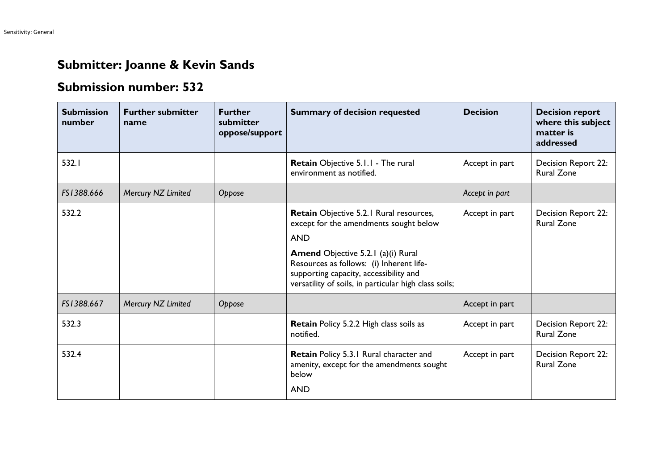## **Submitter: Joanne & Kevin Sands**

## **Submission number: 532**

| <b>Submission</b><br>number | <b>Further submitter</b><br>name | <b>Further</b><br>submitter<br>oppose/support | <b>Summary of decision requested</b>                                                                                                                                                                                                                                                        | <b>Decision</b> | <b>Decision report</b><br>where this subject<br>matter is<br>addressed |
|-----------------------------|----------------------------------|-----------------------------------------------|---------------------------------------------------------------------------------------------------------------------------------------------------------------------------------------------------------------------------------------------------------------------------------------------|-----------------|------------------------------------------------------------------------|
| 532.1                       |                                  |                                               | Retain Objective 5.1.1 - The rural<br>environment as notified.                                                                                                                                                                                                                              | Accept in part  | Decision Report 22:<br><b>Rural Zone</b>                               |
| FS1388.666                  | Mercury NZ Limited               | Oppose                                        |                                                                                                                                                                                                                                                                                             | Accept in part  |                                                                        |
| 532.2                       |                                  |                                               | Retain Objective 5.2.1 Rural resources,<br>except for the amendments sought below<br><b>AND</b><br><b>Amend Objective 5.2.1 (a)(i) Rural</b><br>Resources as follows: (i) Inherent life-<br>supporting capacity, accessibility and<br>versatility of soils, in particular high class soils; | Accept in part  | Decision Report 22:<br><b>Rural Zone</b>                               |
| FS1388.667                  | Mercury NZ Limited               | Oppose                                        |                                                                                                                                                                                                                                                                                             | Accept in part  |                                                                        |
| 532.3                       |                                  |                                               | <b>Retain Policy 5.2.2 High class soils as</b><br>notified.                                                                                                                                                                                                                                 | Accept in part  | Decision Report 22:<br><b>Rural Zone</b>                               |
| 532.4                       |                                  |                                               | Retain Policy 5.3.1 Rural character and<br>amenity, except for the amendments sought<br>below<br><b>AND</b>                                                                                                                                                                                 | Accept in part  | Decision Report 22:<br><b>Rural Zone</b>                               |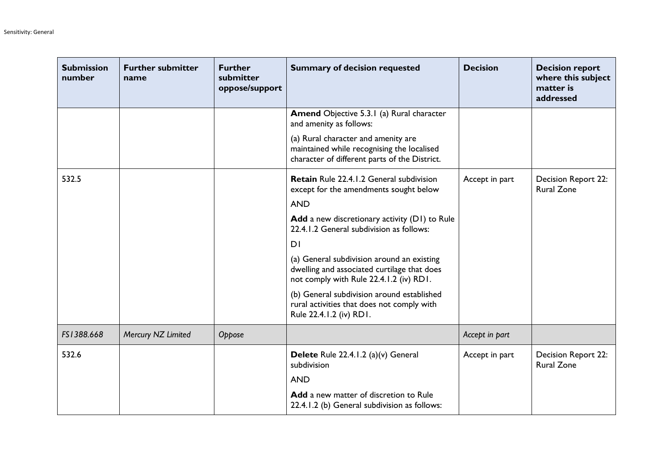| <b>Submission</b><br>number | <b>Further submitter</b><br>name | <b>Further</b><br>submitter<br>oppose/support | <b>Summary of decision requested</b>                                                                                                 | <b>Decision</b> | <b>Decision report</b><br>where this subject<br>matter is<br>addressed |
|-----------------------------|----------------------------------|-----------------------------------------------|--------------------------------------------------------------------------------------------------------------------------------------|-----------------|------------------------------------------------------------------------|
|                             |                                  |                                               | Amend Objective 5.3.1 (a) Rural character<br>and amenity as follows:                                                                 |                 |                                                                        |
|                             |                                  |                                               | (a) Rural character and amenity are<br>maintained while recognising the localised<br>character of different parts of the District.   |                 |                                                                        |
| 532.5                       |                                  |                                               | <b>Retain</b> Rule 22.4.1.2 General subdivision<br>except for the amendments sought below                                            | Accept in part  | Decision Report 22:<br><b>Rural Zone</b>                               |
|                             |                                  |                                               | <b>AND</b>                                                                                                                           |                 |                                                                        |
|                             |                                  |                                               | Add a new discretionary activity (D1) to Rule<br>22.4.1.2 General subdivision as follows:                                            |                 |                                                                        |
|                             |                                  |                                               | DI                                                                                                                                   |                 |                                                                        |
|                             |                                  |                                               | (a) General subdivision around an existing<br>dwelling and associated curtilage that does<br>not comply with Rule 22.4.1.2 (iv) RD1. |                 |                                                                        |
|                             |                                  |                                               | (b) General subdivision around established<br>rural activities that does not comply with<br>Rule 22.4.1.2 (iv) RD1.                  |                 |                                                                        |
| FS1388.668                  | Mercury NZ Limited               | Oppose                                        |                                                                                                                                      | Accept in part  |                                                                        |
| 532.6                       |                                  |                                               | Delete Rule 22.4.1.2 (a)(v) General<br>subdivision                                                                                   | Accept in part  | <b>Decision Report 22:</b><br><b>Rural Zone</b>                        |
|                             |                                  |                                               | <b>AND</b>                                                                                                                           |                 |                                                                        |
|                             |                                  |                                               | Add a new matter of discretion to Rule<br>22.4.1.2 (b) General subdivision as follows:                                               |                 |                                                                        |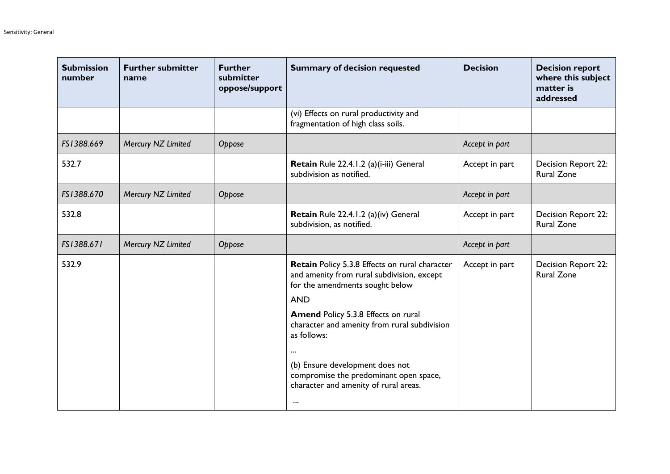| <b>Submission</b><br>number | <b>Further submitter</b><br>name | <b>Further</b><br>submitter<br>oppose/support | <b>Summary of decision requested</b>                                                                                                                                                                                                                                                                                                                                                                     | <b>Decision</b> | <b>Decision report</b><br>where this subject<br>matter is<br>addressed |
|-----------------------------|----------------------------------|-----------------------------------------------|----------------------------------------------------------------------------------------------------------------------------------------------------------------------------------------------------------------------------------------------------------------------------------------------------------------------------------------------------------------------------------------------------------|-----------------|------------------------------------------------------------------------|
|                             |                                  |                                               | (vi) Effects on rural productivity and<br>fragmentation of high class soils.                                                                                                                                                                                                                                                                                                                             |                 |                                                                        |
| FS1388.669                  | Mercury NZ Limited               | Oppose                                        |                                                                                                                                                                                                                                                                                                                                                                                                          | Accept in part  |                                                                        |
| 532.7                       |                                  |                                               | Retain Rule 22.4.1.2 (a)(i-iii) General<br>subdivision as notified.                                                                                                                                                                                                                                                                                                                                      | Accept in part  | <b>Decision Report 22:</b><br><b>Rural Zone</b>                        |
| FS1388.670                  | Mercury NZ Limited               | Oppose                                        |                                                                                                                                                                                                                                                                                                                                                                                                          | Accept in part  |                                                                        |
| 532.8                       |                                  |                                               | Retain Rule 22.4.1.2 (a)(iv) General<br>subdivision, as notified.                                                                                                                                                                                                                                                                                                                                        | Accept in part  | Decision Report 22:<br><b>Rural Zone</b>                               |
| FS1388.671                  | Mercury NZ Limited               | Oppose                                        |                                                                                                                                                                                                                                                                                                                                                                                                          | Accept in part  |                                                                        |
| 532.9                       |                                  |                                               | Retain Policy 5.3.8 Effects on rural character<br>and amenity from rural subdivision, except<br>for the amendments sought below<br><b>AND</b><br><b>Amend Policy 5.3.8 Effects on rural</b><br>character and amenity from rural subdivision<br>as follows:<br>$\cdots$<br>(b) Ensure development does not<br>compromise the predominant open space,<br>character and amenity of rural areas.<br>$\cdots$ | Accept in part  | Decision Report 22:<br><b>Rural Zone</b>                               |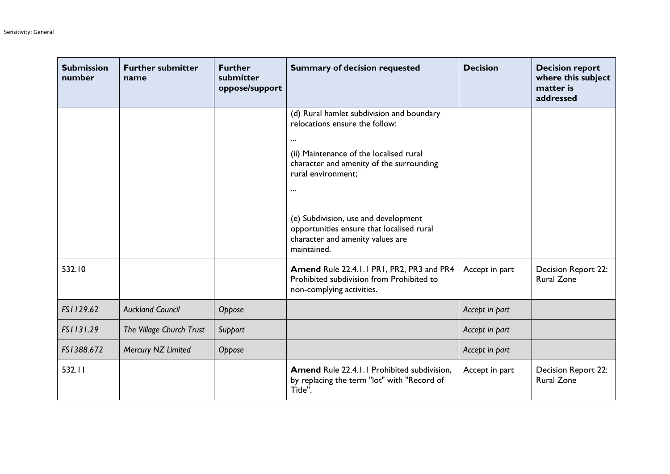| <b>Submission</b><br>number | <b>Further submitter</b><br>name | <b>Further</b><br>submitter<br>oppose/support | <b>Summary of decision requested</b>                                                                                                                                                                                                                                                                                                                     | <b>Decision</b> | <b>Decision report</b><br>where this subject<br>matter is<br>addressed |
|-----------------------------|----------------------------------|-----------------------------------------------|----------------------------------------------------------------------------------------------------------------------------------------------------------------------------------------------------------------------------------------------------------------------------------------------------------------------------------------------------------|-----------------|------------------------------------------------------------------------|
|                             |                                  |                                               | (d) Rural hamlet subdivision and boundary<br>relocations ensure the follow:<br>$\cdots$<br>(ii) Maintenance of the localised rural<br>character and amenity of the surrounding<br>rural environment;<br>$\cdots$<br>(e) Subdivision, use and development<br>opportunities ensure that localised rural<br>character and amenity values are<br>maintained. |                 |                                                                        |
| 532.10                      |                                  |                                               | Amend Rule 22.4.1.1 PR1, PR2, PR3 and PR4<br>Prohibited subdivision from Prohibited to<br>non-complying activities.                                                                                                                                                                                                                                      | Accept in part  | Decision Report 22:<br><b>Rural Zone</b>                               |
| FS1129.62                   | <b>Auckland Council</b>          | Oppose                                        |                                                                                                                                                                                                                                                                                                                                                          | Accept in part  |                                                                        |
| FS1131.29                   | The Village Church Trust         | Support                                       |                                                                                                                                                                                                                                                                                                                                                          | Accept in part  |                                                                        |
| FS1388.672                  | Mercury NZ Limited               | Oppose                                        |                                                                                                                                                                                                                                                                                                                                                          | Accept in part  |                                                                        |
| 532.11                      |                                  |                                               | <b>Amend Rule 22.4.1.1 Prohibited subdivision,</b><br>by replacing the term "lot" with "Record of<br>Title".                                                                                                                                                                                                                                             | Accept in part  | <b>Decision Report 22:</b><br><b>Rural Zone</b>                        |